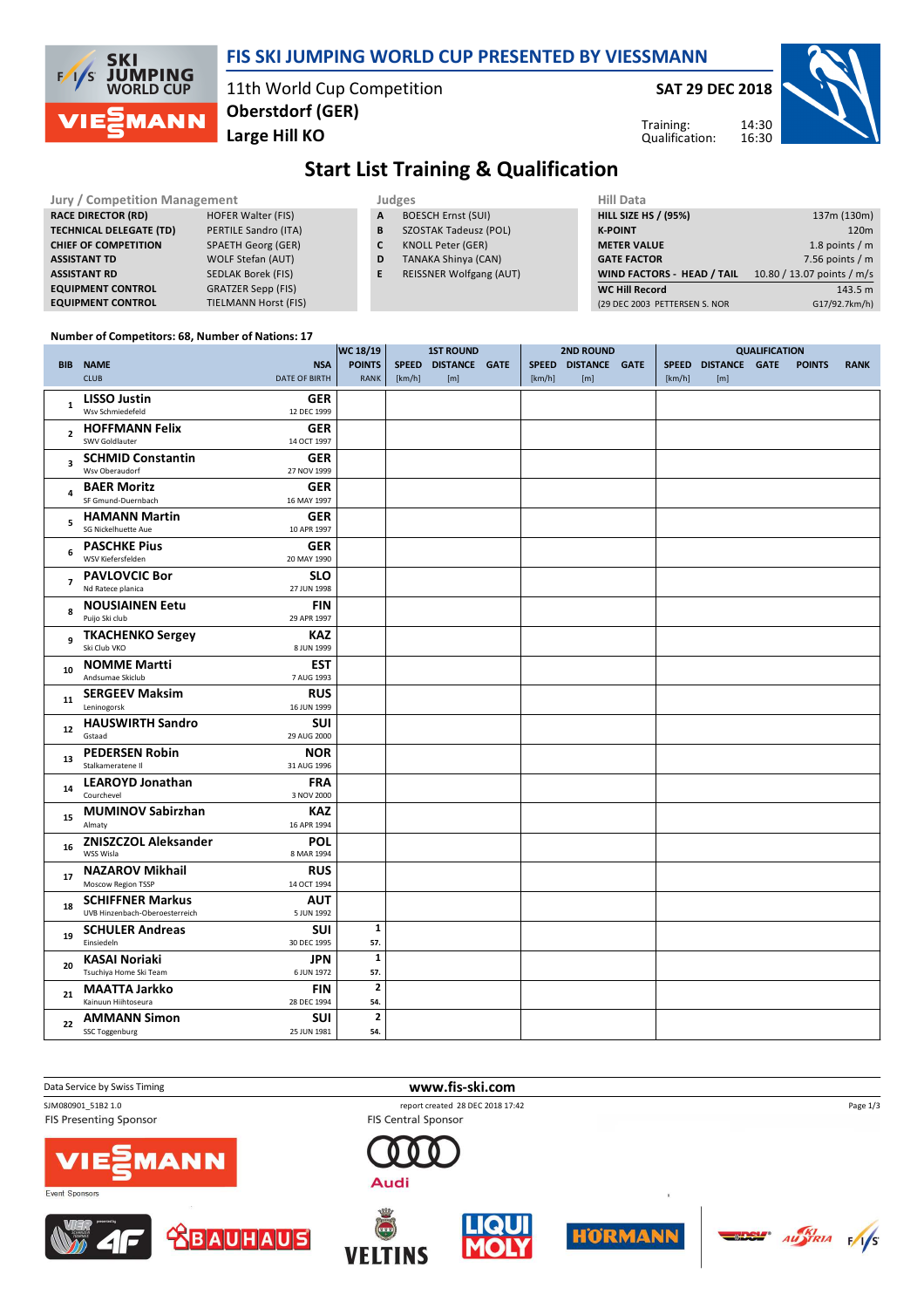## **FIS SKI JUMPING WORLD CUP PRESENTED BY VIESSMANN**

11th World Cup Competition **Large Hill KO Oberstdorf (GER)**

**SAT 29 DEC 2018**

Training: Qualification:



**Start List Training & Qualification**

| <b>Jury / Competition Management</b> |                             |   | Judges                         | <b>Hill Data</b>                  |                            |  |  |  |  |
|--------------------------------------|-----------------------------|---|--------------------------------|-----------------------------------|----------------------------|--|--|--|--|
| <b>RACE DIRECTOR (RD)</b>            | <b>HOFER Walter (FIS)</b>   | A | <b>BOESCH Ernst (SUI)</b>      | <b>HILL SIZE HS / (95%)</b>       | 137m (130m)                |  |  |  |  |
| <b>TECHNICAL DELEGATE (TD)</b>       | PERTILE Sandro (ITA)        | B | <b>SZOSTAK Tadeusz (POL)</b>   | <b>K-POINT</b>                    | 120m                       |  |  |  |  |
| <b>CHIEF OF COMPETITION</b>          | <b>SPAETH Georg (GER)</b>   | C | <b>KNOLL Peter (GER)</b>       | <b>METER VALUE</b>                | 1.8 points / m             |  |  |  |  |
| <b>ASSISTANT TD</b>                  | WOLF Stefan (AUT)           | D | <b>TANAKA Shinya (CAN)</b>     | <b>GATE FACTOR</b>                | 7.56 points $/m$           |  |  |  |  |
| <b>ASSISTANT RD</b>                  | SEDLAK Borek (FIS)          |   | <b>REISSNER Wolfgang (AUT)</b> | <b>WIND FACTORS - HEAD / TAIL</b> | 10.80 / 13.07 points / m/s |  |  |  |  |
| <b>EQUIPMENT CONTROL</b>             | <b>GRATZER Sepp (FIS)</b>   |   |                                | <b>WC Hill Record</b>             | 143.5 m                    |  |  |  |  |
| <b>EQUIPMENT CONTROL</b>             | <b>TIELMANN Horst (FIS)</b> |   |                                | (29 DEC 2003 PETTERSEN S. NOR     | G17/92.7km/h)              |  |  |  |  |

#### **Number of Competitors: 68, Number of Nations: 17**

**SKI** 

 $F/1/S$ 

**JUMPING**<br>WORLD CUP

**MANN** 

|                         |                                                                                       | WC 18/19                       | <b>1ST ROUND</b> |                            |  | <b>2ND ROUND</b> | <b>QUALIFICATION</b>       |                        |                             |  |               |             |
|-------------------------|---------------------------------------------------------------------------------------|--------------------------------|------------------|----------------------------|--|------------------|----------------------------|------------------------|-----------------------------|--|---------------|-------------|
|                         | <b>NSA</b><br><b>BIB NAME</b><br><b>CLUB</b><br><b>DATE OF BIRTH</b>                  | <b>POINTS</b><br><b>RANK</b>   | [km/h]           | SPEED DISTANCE GATE<br>[m] |  | [km/h]           | SPEED DISTANCE GATE<br>[m] | <b>SPEED</b><br>[km/h] | <b>DISTANCE GATE</b><br>[m] |  | <b>POINTS</b> | <b>RANK</b> |
| $\mathbf{1}$            | <b>LISSO Justin</b><br><b>GER</b><br>Wsv Schmiedefeld<br>12 DEC 1999                  |                                |                  |                            |  |                  |                            |                        |                             |  |               |             |
| $\mathbf{2}$            | <b>HOFFMANN Felix</b><br><b>GER</b><br>SWV Goldlauter<br>14 OCT 1997                  |                                |                  |                            |  |                  |                            |                        |                             |  |               |             |
| $\overline{\mathbf{3}}$ | <b>GER</b><br><b>SCHMID Constantin</b><br>Wsv Oberaudorf<br>27 NOV 1999               |                                |                  |                            |  |                  |                            |                        |                             |  |               |             |
| 4                       | <b>BAER Moritz</b><br><b>GER</b><br>SF Gmund-Duernbach<br>16 MAY 1997                 |                                |                  |                            |  |                  |                            |                        |                             |  |               |             |
| 5                       | <b>HAMANN Martin</b><br>GER<br>SG Nickelhuette Aue<br>10 APR 1997                     |                                |                  |                            |  |                  |                            |                        |                             |  |               |             |
| 6                       | <b>PASCHKE Pius</b><br><b>GER</b><br>WSV Kiefersfelden<br>20 MAY 1990                 |                                |                  |                            |  |                  |                            |                        |                             |  |               |             |
| $\overline{7}$          | <b>PAVLOVCIC Bor</b><br><b>SLO</b><br>Nd Ratece planica<br>27 JUN 1998                |                                |                  |                            |  |                  |                            |                        |                             |  |               |             |
| 8                       | <b>NOUSIAINEN Eetu</b><br><b>FIN</b><br>Puijo Ski club<br>29 APR 1997                 |                                |                  |                            |  |                  |                            |                        |                             |  |               |             |
| 9                       | <b>TKACHENKO Sergey</b><br><b>KAZ</b><br>Ski Club VKO<br>8 JUN 1999                   |                                |                  |                            |  |                  |                            |                        |                             |  |               |             |
| 10                      | <b>NOMME Martti</b><br><b>EST</b><br>Andsumae Skiclub<br>7 AUG 1993                   |                                |                  |                            |  |                  |                            |                        |                             |  |               |             |
| 11                      | <b>SERGEEV Maksim</b><br><b>RUS</b><br>Leninogorsk<br>16 JUN 1999                     |                                |                  |                            |  |                  |                            |                        |                             |  |               |             |
| 12                      | <b>HAUSWIRTH Sandro</b><br><b>SUI</b><br>Gstaad<br>29 AUG 2000                        |                                |                  |                            |  |                  |                            |                        |                             |  |               |             |
| 13                      | <b>PEDERSEN Robin</b><br><b>NOR</b><br>Stalkameratene II<br>31 AUG 1996               |                                |                  |                            |  |                  |                            |                        |                             |  |               |             |
| 14                      | <b>FRA</b><br><b>LEAROYD Jonathan</b><br>Courchevel<br>3 NOV 2000                     |                                |                  |                            |  |                  |                            |                        |                             |  |               |             |
| 15                      | <b>MUMINOV Sabirzhan</b><br><b>KAZ</b><br>Almaty<br>16 APR 1994                       |                                |                  |                            |  |                  |                            |                        |                             |  |               |             |
| 16                      | <b>ZNISZCZOL Aleksander</b><br>POL<br>WSS Wisla<br>8 MAR 1994                         |                                |                  |                            |  |                  |                            |                        |                             |  |               |             |
| 17                      | <b>NAZAROV Mikhail</b><br><b>RUS</b><br>Moscow Region TSSP<br>14 OCT 1994             |                                |                  |                            |  |                  |                            |                        |                             |  |               |             |
| 18                      | <b>SCHIFFNER Markus</b><br><b>AUT</b><br>UVB Hinzenbach-Oberoesterreich<br>5 JUN 1992 |                                |                  |                            |  |                  |                            |                        |                             |  |               |             |
| 19                      | <b>SCHULER Andreas</b><br><b>SUI</b><br>Einsiedeln<br>30 DEC 1995                     | $\mathbf{1}$<br>57.            |                  |                            |  |                  |                            |                        |                             |  |               |             |
| 20                      | <b>KASAI Noriaki</b><br><b>JPN</b><br>Tsuchiya Home Ski Team<br>6 JUN 1972            | $\mathbf 1$<br>57.             |                  |                            |  |                  |                            |                        |                             |  |               |             |
| 21                      | <b>MAATTA Jarkko</b><br><b>FIN</b><br>Kainuun Hiihtoseura<br>28 DEC 1994              | $\overline{\mathbf{2}}$<br>54. |                  |                            |  |                  |                            |                        |                             |  |               |             |
| 22                      | <b>AMMANN Simon</b><br><b>SUI</b><br>SSC Toggenburg<br>25 JUN 1981                    | $\mathbf{2}$<br>54.            |                  |                            |  |                  |                            |                        |                             |  |               |             |



**FIS Presenting Sponsor** 







**BAUHAUS** 









Page 1/3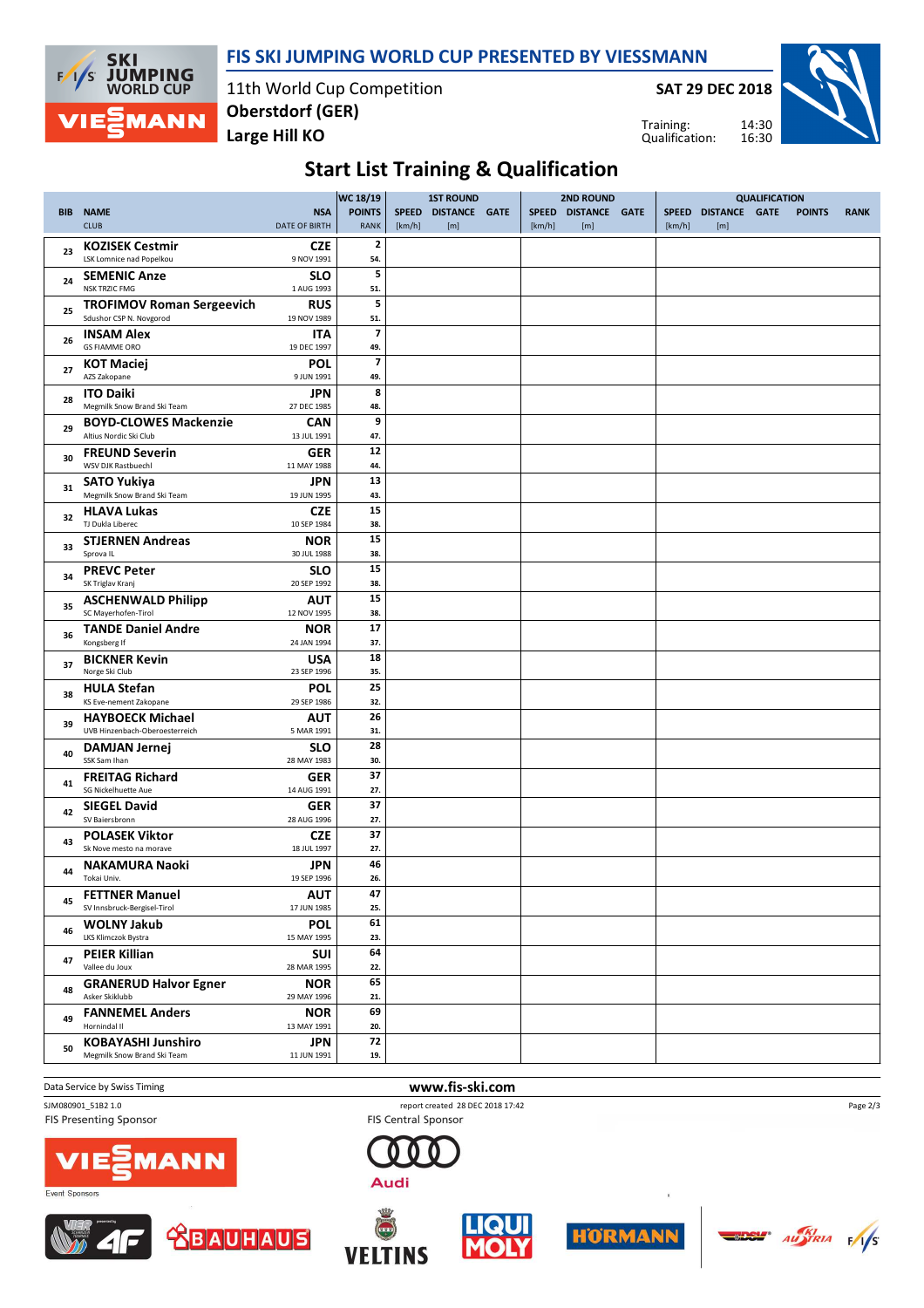## **FIS SKI JUMPING WORLD CUP PRESENTED BY VIESSMANN**



11th World Cup Competition **Large Hill KO Oberstdorf (GER)**

**SAT 29 DEC 2018**

Training: Qualification:



## **Start List Training & Qualification**

| <b>POINTS</b><br><b>NAME</b><br><b>NSA</b><br>SPEED DISTANCE GATE<br>SPEED DISTANCE GATE<br><b>SPEED</b><br>DISTANCE GATE<br><b>POINTS</b><br><b>RANK</b><br><b>BIB</b><br><b>CLUB</b><br><b>DATE OF BIRTH</b><br><b>RANK</b><br>[km/h]<br>[m]<br>[m]<br>[km/h]<br>[km/h]<br>[m]<br>$\mathbf{2}$<br><b>KOZISEK Cestmir</b><br><b>CZE</b><br>23<br>LSK Lomnice nad Popelkou<br>9 NOV 1991<br>54.<br>5<br><b>SEMENIC Anze</b><br><b>SLO</b><br>24<br><b>NSK TRZIC FMG</b><br>1 AUG 1993<br>51.<br>5<br><b>TROFIMOV Roman Sergeevich</b><br><b>RUS</b><br>25<br>Sdushor CSP N. Novgorod<br>19 NOV 1989<br>51.<br>$\overline{\phantom{a}}$<br><b>INSAM Alex</b><br>ITA<br>26<br><b>GS FIAMME ORO</b><br>19 DEC 1997<br>49.<br>$\overline{\phantom{a}}$<br><b>POL</b><br><b>KOT Maciej</b><br>27<br>AZS Zakopane<br>9 JUN 1991<br>49.<br>8<br><b>ITO Daiki</b><br><b>JPN</b><br>28<br>Megmilk Snow Brand Ski Team<br>27 DEC 1985<br>48.<br>9<br><b>BOYD-CLOWES Mackenzie</b><br><b>CAN</b><br>29<br>Altius Nordic Ski Club<br>13 JUL 1991<br>47.<br>12<br><b>FREUND Severin</b><br><b>GER</b><br>30<br><b>WSV DJK Rastbuechl</b><br>11 MAY 1988<br>44.<br>13<br><b>SATO Yukiya</b><br>JPN<br>31<br>Megmilk Snow Brand Ski Team<br>19 JUN 1995<br>43.<br>15<br><b>HLAVA Lukas</b><br><b>CZE</b><br>32<br>TJ Dukla Liberec<br>10 SEP 1984<br>38.<br>15<br><b>STJERNEN Andreas</b><br><b>NOR</b><br>33<br>Sprova IL<br>30 JUL 1988<br>38.<br>15<br><b>PREVC Peter</b><br><b>SLO</b><br>34<br>SK Triglav Kranj<br>20 SEP 1992<br>38.<br>15<br><b>ASCHENWALD Philipp</b><br><b>AUT</b><br>35<br>SC Mayerhofen-Tirol<br>12 NOV 1995<br>38.<br>17<br><b>TANDE Daniel Andre</b><br><b>NOR</b><br>36<br>Kongsberg If<br>24 JAN 1994<br>37.<br>18<br><b>BICKNER Kevin</b><br><b>USA</b><br>37<br>Norge Ski Club<br>23 SEP 1996<br>35.<br>25<br><b>HULA Stefan</b><br><b>POL</b><br>38<br>KS Eve-nement Zakopane<br>29 SEP 1986<br>32.<br>26<br><b>HAYBOECK Michael</b><br><b>AUT</b><br>39<br>UVB Hinzenbach-Oberoesterreich<br>5 MAR 1991<br>31.<br>28<br><b>SLO</b><br>DAMJAN Jernej<br>40<br>SSK Sam Ihan<br>28 MAY 1983<br>30.<br>37<br><b>FREITAG Richard</b><br><b>GER</b><br>41<br>SG Nickelhuette Aue<br>14 AUG 1991<br>27.<br>37<br><b>SIEGEL David</b><br><b>GER</b><br>42<br>SV Baiersbronn<br>28 AUG 1996<br>27.<br>37<br><b>POLASEK Viktor</b><br><b>CZE</b><br>43<br>Sk Nove mesto na morave<br>18 JUL 1997<br>27.<br>46<br><b>JPN</b><br><b>NAKAMURA Naoki</b><br>44<br>Tokai Univ.<br>19 SEP 1996<br>26.<br>47<br><b>FETTNER Manuel</b><br><b>AUT</b><br>45<br>SV Innsbruck-Bergisel-Tirol<br>17 JUN 1985<br>25.<br>61<br><b>WOLNY Jakub</b><br><b>POL</b><br>46<br>LKS Klimczok Bystra<br>15 MAY 1995<br>23.<br>64<br><b>PEIER Killian</b><br><b>SUI</b><br>47<br>Vallee du Joux<br>28 MAR 1995<br>22.<br>65<br><b>GRANERUD Halvor Egner</b><br><b>NOR</b><br>48<br>Asker Skiklubb<br>29 MAY 1996<br>21.<br>69<br><b>FANNEMEL Anders</b><br><b>NOR</b><br>49<br>Hornindal II<br>13 MAY 1991<br>20.<br>72<br><b>KOBAYASHI Junshiro</b><br><b>JPN</b><br>50<br>Megmilk Snow Brand Ski Team<br>11 JUN 1991<br>19. |  |  | WC 18/19 | <b>1ST ROUND</b> |  | <b>2ND ROUND</b> |  | <b>QUALIFICATION</b> |  |  |
|------------------------------------------------------------------------------------------------------------------------------------------------------------------------------------------------------------------------------------------------------------------------------------------------------------------------------------------------------------------------------------------------------------------------------------------------------------------------------------------------------------------------------------------------------------------------------------------------------------------------------------------------------------------------------------------------------------------------------------------------------------------------------------------------------------------------------------------------------------------------------------------------------------------------------------------------------------------------------------------------------------------------------------------------------------------------------------------------------------------------------------------------------------------------------------------------------------------------------------------------------------------------------------------------------------------------------------------------------------------------------------------------------------------------------------------------------------------------------------------------------------------------------------------------------------------------------------------------------------------------------------------------------------------------------------------------------------------------------------------------------------------------------------------------------------------------------------------------------------------------------------------------------------------------------------------------------------------------------------------------------------------------------------------------------------------------------------------------------------------------------------------------------------------------------------------------------------------------------------------------------------------------------------------------------------------------------------------------------------------------------------------------------------------------------------------------------------------------------------------------------------------------------------------------------------------------------------------------------------------------------------------------------------------------------------------------------------------------------------------------------------------------------------------------------------------------------------------------------------------------------------------------------------------------------------------------------------------------------------------------------------------------------------------------------------------------------------------------------------------|--|--|----------|------------------|--|------------------|--|----------------------|--|--|
|                                                                                                                                                                                                                                                                                                                                                                                                                                                                                                                                                                                                                                                                                                                                                                                                                                                                                                                                                                                                                                                                                                                                                                                                                                                                                                                                                                                                                                                                                                                                                                                                                                                                                                                                                                                                                                                                                                                                                                                                                                                                                                                                                                                                                                                                                                                                                                                                                                                                                                                                                                                                                                                                                                                                                                                                                                                                                                                                                                                                                                                                                                                  |  |  |          |                  |  |                  |  |                      |  |  |
|                                                                                                                                                                                                                                                                                                                                                                                                                                                                                                                                                                                                                                                                                                                                                                                                                                                                                                                                                                                                                                                                                                                                                                                                                                                                                                                                                                                                                                                                                                                                                                                                                                                                                                                                                                                                                                                                                                                                                                                                                                                                                                                                                                                                                                                                                                                                                                                                                                                                                                                                                                                                                                                                                                                                                                                                                                                                                                                                                                                                                                                                                                                  |  |  |          |                  |  |                  |  |                      |  |  |
|                                                                                                                                                                                                                                                                                                                                                                                                                                                                                                                                                                                                                                                                                                                                                                                                                                                                                                                                                                                                                                                                                                                                                                                                                                                                                                                                                                                                                                                                                                                                                                                                                                                                                                                                                                                                                                                                                                                                                                                                                                                                                                                                                                                                                                                                                                                                                                                                                                                                                                                                                                                                                                                                                                                                                                                                                                                                                                                                                                                                                                                                                                                  |  |  |          |                  |  |                  |  |                      |  |  |
|                                                                                                                                                                                                                                                                                                                                                                                                                                                                                                                                                                                                                                                                                                                                                                                                                                                                                                                                                                                                                                                                                                                                                                                                                                                                                                                                                                                                                                                                                                                                                                                                                                                                                                                                                                                                                                                                                                                                                                                                                                                                                                                                                                                                                                                                                                                                                                                                                                                                                                                                                                                                                                                                                                                                                                                                                                                                                                                                                                                                                                                                                                                  |  |  |          |                  |  |                  |  |                      |  |  |
|                                                                                                                                                                                                                                                                                                                                                                                                                                                                                                                                                                                                                                                                                                                                                                                                                                                                                                                                                                                                                                                                                                                                                                                                                                                                                                                                                                                                                                                                                                                                                                                                                                                                                                                                                                                                                                                                                                                                                                                                                                                                                                                                                                                                                                                                                                                                                                                                                                                                                                                                                                                                                                                                                                                                                                                                                                                                                                                                                                                                                                                                                                                  |  |  |          |                  |  |                  |  |                      |  |  |
|                                                                                                                                                                                                                                                                                                                                                                                                                                                                                                                                                                                                                                                                                                                                                                                                                                                                                                                                                                                                                                                                                                                                                                                                                                                                                                                                                                                                                                                                                                                                                                                                                                                                                                                                                                                                                                                                                                                                                                                                                                                                                                                                                                                                                                                                                                                                                                                                                                                                                                                                                                                                                                                                                                                                                                                                                                                                                                                                                                                                                                                                                                                  |  |  |          |                  |  |                  |  |                      |  |  |
|                                                                                                                                                                                                                                                                                                                                                                                                                                                                                                                                                                                                                                                                                                                                                                                                                                                                                                                                                                                                                                                                                                                                                                                                                                                                                                                                                                                                                                                                                                                                                                                                                                                                                                                                                                                                                                                                                                                                                                                                                                                                                                                                                                                                                                                                                                                                                                                                                                                                                                                                                                                                                                                                                                                                                                                                                                                                                                                                                                                                                                                                                                                  |  |  |          |                  |  |                  |  |                      |  |  |
|                                                                                                                                                                                                                                                                                                                                                                                                                                                                                                                                                                                                                                                                                                                                                                                                                                                                                                                                                                                                                                                                                                                                                                                                                                                                                                                                                                                                                                                                                                                                                                                                                                                                                                                                                                                                                                                                                                                                                                                                                                                                                                                                                                                                                                                                                                                                                                                                                                                                                                                                                                                                                                                                                                                                                                                                                                                                                                                                                                                                                                                                                                                  |  |  |          |                  |  |                  |  |                      |  |  |
|                                                                                                                                                                                                                                                                                                                                                                                                                                                                                                                                                                                                                                                                                                                                                                                                                                                                                                                                                                                                                                                                                                                                                                                                                                                                                                                                                                                                                                                                                                                                                                                                                                                                                                                                                                                                                                                                                                                                                                                                                                                                                                                                                                                                                                                                                                                                                                                                                                                                                                                                                                                                                                                                                                                                                                                                                                                                                                                                                                                                                                                                                                                  |  |  |          |                  |  |                  |  |                      |  |  |
|                                                                                                                                                                                                                                                                                                                                                                                                                                                                                                                                                                                                                                                                                                                                                                                                                                                                                                                                                                                                                                                                                                                                                                                                                                                                                                                                                                                                                                                                                                                                                                                                                                                                                                                                                                                                                                                                                                                                                                                                                                                                                                                                                                                                                                                                                                                                                                                                                                                                                                                                                                                                                                                                                                                                                                                                                                                                                                                                                                                                                                                                                                                  |  |  |          |                  |  |                  |  |                      |  |  |
|                                                                                                                                                                                                                                                                                                                                                                                                                                                                                                                                                                                                                                                                                                                                                                                                                                                                                                                                                                                                                                                                                                                                                                                                                                                                                                                                                                                                                                                                                                                                                                                                                                                                                                                                                                                                                                                                                                                                                                                                                                                                                                                                                                                                                                                                                                                                                                                                                                                                                                                                                                                                                                                                                                                                                                                                                                                                                                                                                                                                                                                                                                                  |  |  |          |                  |  |                  |  |                      |  |  |
|                                                                                                                                                                                                                                                                                                                                                                                                                                                                                                                                                                                                                                                                                                                                                                                                                                                                                                                                                                                                                                                                                                                                                                                                                                                                                                                                                                                                                                                                                                                                                                                                                                                                                                                                                                                                                                                                                                                                                                                                                                                                                                                                                                                                                                                                                                                                                                                                                                                                                                                                                                                                                                                                                                                                                                                                                                                                                                                                                                                                                                                                                                                  |  |  |          |                  |  |                  |  |                      |  |  |
|                                                                                                                                                                                                                                                                                                                                                                                                                                                                                                                                                                                                                                                                                                                                                                                                                                                                                                                                                                                                                                                                                                                                                                                                                                                                                                                                                                                                                                                                                                                                                                                                                                                                                                                                                                                                                                                                                                                                                                                                                                                                                                                                                                                                                                                                                                                                                                                                                                                                                                                                                                                                                                                                                                                                                                                                                                                                                                                                                                                                                                                                                                                  |  |  |          |                  |  |                  |  |                      |  |  |
|                                                                                                                                                                                                                                                                                                                                                                                                                                                                                                                                                                                                                                                                                                                                                                                                                                                                                                                                                                                                                                                                                                                                                                                                                                                                                                                                                                                                                                                                                                                                                                                                                                                                                                                                                                                                                                                                                                                                                                                                                                                                                                                                                                                                                                                                                                                                                                                                                                                                                                                                                                                                                                                                                                                                                                                                                                                                                                                                                                                                                                                                                                                  |  |  |          |                  |  |                  |  |                      |  |  |
|                                                                                                                                                                                                                                                                                                                                                                                                                                                                                                                                                                                                                                                                                                                                                                                                                                                                                                                                                                                                                                                                                                                                                                                                                                                                                                                                                                                                                                                                                                                                                                                                                                                                                                                                                                                                                                                                                                                                                                                                                                                                                                                                                                                                                                                                                                                                                                                                                                                                                                                                                                                                                                                                                                                                                                                                                                                                                                                                                                                                                                                                                                                  |  |  |          |                  |  |                  |  |                      |  |  |
|                                                                                                                                                                                                                                                                                                                                                                                                                                                                                                                                                                                                                                                                                                                                                                                                                                                                                                                                                                                                                                                                                                                                                                                                                                                                                                                                                                                                                                                                                                                                                                                                                                                                                                                                                                                                                                                                                                                                                                                                                                                                                                                                                                                                                                                                                                                                                                                                                                                                                                                                                                                                                                                                                                                                                                                                                                                                                                                                                                                                                                                                                                                  |  |  |          |                  |  |                  |  |                      |  |  |
|                                                                                                                                                                                                                                                                                                                                                                                                                                                                                                                                                                                                                                                                                                                                                                                                                                                                                                                                                                                                                                                                                                                                                                                                                                                                                                                                                                                                                                                                                                                                                                                                                                                                                                                                                                                                                                                                                                                                                                                                                                                                                                                                                                                                                                                                                                                                                                                                                                                                                                                                                                                                                                                                                                                                                                                                                                                                                                                                                                                                                                                                                                                  |  |  |          |                  |  |                  |  |                      |  |  |
|                                                                                                                                                                                                                                                                                                                                                                                                                                                                                                                                                                                                                                                                                                                                                                                                                                                                                                                                                                                                                                                                                                                                                                                                                                                                                                                                                                                                                                                                                                                                                                                                                                                                                                                                                                                                                                                                                                                                                                                                                                                                                                                                                                                                                                                                                                                                                                                                                                                                                                                                                                                                                                                                                                                                                                                                                                                                                                                                                                                                                                                                                                                  |  |  |          |                  |  |                  |  |                      |  |  |
|                                                                                                                                                                                                                                                                                                                                                                                                                                                                                                                                                                                                                                                                                                                                                                                                                                                                                                                                                                                                                                                                                                                                                                                                                                                                                                                                                                                                                                                                                                                                                                                                                                                                                                                                                                                                                                                                                                                                                                                                                                                                                                                                                                                                                                                                                                                                                                                                                                                                                                                                                                                                                                                                                                                                                                                                                                                                                                                                                                                                                                                                                                                  |  |  |          |                  |  |                  |  |                      |  |  |
|                                                                                                                                                                                                                                                                                                                                                                                                                                                                                                                                                                                                                                                                                                                                                                                                                                                                                                                                                                                                                                                                                                                                                                                                                                                                                                                                                                                                                                                                                                                                                                                                                                                                                                                                                                                                                                                                                                                                                                                                                                                                                                                                                                                                                                                                                                                                                                                                                                                                                                                                                                                                                                                                                                                                                                                                                                                                                                                                                                                                                                                                                                                  |  |  |          |                  |  |                  |  |                      |  |  |
|                                                                                                                                                                                                                                                                                                                                                                                                                                                                                                                                                                                                                                                                                                                                                                                                                                                                                                                                                                                                                                                                                                                                                                                                                                                                                                                                                                                                                                                                                                                                                                                                                                                                                                                                                                                                                                                                                                                                                                                                                                                                                                                                                                                                                                                                                                                                                                                                                                                                                                                                                                                                                                                                                                                                                                                                                                                                                                                                                                                                                                                                                                                  |  |  |          |                  |  |                  |  |                      |  |  |
|                                                                                                                                                                                                                                                                                                                                                                                                                                                                                                                                                                                                                                                                                                                                                                                                                                                                                                                                                                                                                                                                                                                                                                                                                                                                                                                                                                                                                                                                                                                                                                                                                                                                                                                                                                                                                                                                                                                                                                                                                                                                                                                                                                                                                                                                                                                                                                                                                                                                                                                                                                                                                                                                                                                                                                                                                                                                                                                                                                                                                                                                                                                  |  |  |          |                  |  |                  |  |                      |  |  |
|                                                                                                                                                                                                                                                                                                                                                                                                                                                                                                                                                                                                                                                                                                                                                                                                                                                                                                                                                                                                                                                                                                                                                                                                                                                                                                                                                                                                                                                                                                                                                                                                                                                                                                                                                                                                                                                                                                                                                                                                                                                                                                                                                                                                                                                                                                                                                                                                                                                                                                                                                                                                                                                                                                                                                                                                                                                                                                                                                                                                                                                                                                                  |  |  |          |                  |  |                  |  |                      |  |  |
|                                                                                                                                                                                                                                                                                                                                                                                                                                                                                                                                                                                                                                                                                                                                                                                                                                                                                                                                                                                                                                                                                                                                                                                                                                                                                                                                                                                                                                                                                                                                                                                                                                                                                                                                                                                                                                                                                                                                                                                                                                                                                                                                                                                                                                                                                                                                                                                                                                                                                                                                                                                                                                                                                                                                                                                                                                                                                                                                                                                                                                                                                                                  |  |  |          |                  |  |                  |  |                      |  |  |
|                                                                                                                                                                                                                                                                                                                                                                                                                                                                                                                                                                                                                                                                                                                                                                                                                                                                                                                                                                                                                                                                                                                                                                                                                                                                                                                                                                                                                                                                                                                                                                                                                                                                                                                                                                                                                                                                                                                                                                                                                                                                                                                                                                                                                                                                                                                                                                                                                                                                                                                                                                                                                                                                                                                                                                                                                                                                                                                                                                                                                                                                                                                  |  |  |          |                  |  |                  |  |                      |  |  |
|                                                                                                                                                                                                                                                                                                                                                                                                                                                                                                                                                                                                                                                                                                                                                                                                                                                                                                                                                                                                                                                                                                                                                                                                                                                                                                                                                                                                                                                                                                                                                                                                                                                                                                                                                                                                                                                                                                                                                                                                                                                                                                                                                                                                                                                                                                                                                                                                                                                                                                                                                                                                                                                                                                                                                                                                                                                                                                                                                                                                                                                                                                                  |  |  |          |                  |  |                  |  |                      |  |  |
|                                                                                                                                                                                                                                                                                                                                                                                                                                                                                                                                                                                                                                                                                                                                                                                                                                                                                                                                                                                                                                                                                                                                                                                                                                                                                                                                                                                                                                                                                                                                                                                                                                                                                                                                                                                                                                                                                                                                                                                                                                                                                                                                                                                                                                                                                                                                                                                                                                                                                                                                                                                                                                                                                                                                                                                                                                                                                                                                                                                                                                                                                                                  |  |  |          |                  |  |                  |  |                      |  |  |
|                                                                                                                                                                                                                                                                                                                                                                                                                                                                                                                                                                                                                                                                                                                                                                                                                                                                                                                                                                                                                                                                                                                                                                                                                                                                                                                                                                                                                                                                                                                                                                                                                                                                                                                                                                                                                                                                                                                                                                                                                                                                                                                                                                                                                                                                                                                                                                                                                                                                                                                                                                                                                                                                                                                                                                                                                                                                                                                                                                                                                                                                                                                  |  |  |          |                  |  |                  |  |                      |  |  |
|                                                                                                                                                                                                                                                                                                                                                                                                                                                                                                                                                                                                                                                                                                                                                                                                                                                                                                                                                                                                                                                                                                                                                                                                                                                                                                                                                                                                                                                                                                                                                                                                                                                                                                                                                                                                                                                                                                                                                                                                                                                                                                                                                                                                                                                                                                                                                                                                                                                                                                                                                                                                                                                                                                                                                                                                                                                                                                                                                                                                                                                                                                                  |  |  |          |                  |  |                  |  |                      |  |  |
|                                                                                                                                                                                                                                                                                                                                                                                                                                                                                                                                                                                                                                                                                                                                                                                                                                                                                                                                                                                                                                                                                                                                                                                                                                                                                                                                                                                                                                                                                                                                                                                                                                                                                                                                                                                                                                                                                                                                                                                                                                                                                                                                                                                                                                                                                                                                                                                                                                                                                                                                                                                                                                                                                                                                                                                                                                                                                                                                                                                                                                                                                                                  |  |  |          |                  |  |                  |  |                      |  |  |
|                                                                                                                                                                                                                                                                                                                                                                                                                                                                                                                                                                                                                                                                                                                                                                                                                                                                                                                                                                                                                                                                                                                                                                                                                                                                                                                                                                                                                                                                                                                                                                                                                                                                                                                                                                                                                                                                                                                                                                                                                                                                                                                                                                                                                                                                                                                                                                                                                                                                                                                                                                                                                                                                                                                                                                                                                                                                                                                                                                                                                                                                                                                  |  |  |          |                  |  |                  |  |                      |  |  |
|                                                                                                                                                                                                                                                                                                                                                                                                                                                                                                                                                                                                                                                                                                                                                                                                                                                                                                                                                                                                                                                                                                                                                                                                                                                                                                                                                                                                                                                                                                                                                                                                                                                                                                                                                                                                                                                                                                                                                                                                                                                                                                                                                                                                                                                                                                                                                                                                                                                                                                                                                                                                                                                                                                                                                                                                                                                                                                                                                                                                                                                                                                                  |  |  |          |                  |  |                  |  |                      |  |  |
|                                                                                                                                                                                                                                                                                                                                                                                                                                                                                                                                                                                                                                                                                                                                                                                                                                                                                                                                                                                                                                                                                                                                                                                                                                                                                                                                                                                                                                                                                                                                                                                                                                                                                                                                                                                                                                                                                                                                                                                                                                                                                                                                                                                                                                                                                                                                                                                                                                                                                                                                                                                                                                                                                                                                                                                                                                                                                                                                                                                                                                                                                                                  |  |  |          |                  |  |                  |  |                      |  |  |
|                                                                                                                                                                                                                                                                                                                                                                                                                                                                                                                                                                                                                                                                                                                                                                                                                                                                                                                                                                                                                                                                                                                                                                                                                                                                                                                                                                                                                                                                                                                                                                                                                                                                                                                                                                                                                                                                                                                                                                                                                                                                                                                                                                                                                                                                                                                                                                                                                                                                                                                                                                                                                                                                                                                                                                                                                                                                                                                                                                                                                                                                                                                  |  |  |          |                  |  |                  |  |                      |  |  |
|                                                                                                                                                                                                                                                                                                                                                                                                                                                                                                                                                                                                                                                                                                                                                                                                                                                                                                                                                                                                                                                                                                                                                                                                                                                                                                                                                                                                                                                                                                                                                                                                                                                                                                                                                                                                                                                                                                                                                                                                                                                                                                                                                                                                                                                                                                                                                                                                                                                                                                                                                                                                                                                                                                                                                                                                                                                                                                                                                                                                                                                                                                                  |  |  |          |                  |  |                  |  |                      |  |  |
|                                                                                                                                                                                                                                                                                                                                                                                                                                                                                                                                                                                                                                                                                                                                                                                                                                                                                                                                                                                                                                                                                                                                                                                                                                                                                                                                                                                                                                                                                                                                                                                                                                                                                                                                                                                                                                                                                                                                                                                                                                                                                                                                                                                                                                                                                                                                                                                                                                                                                                                                                                                                                                                                                                                                                                                                                                                                                                                                                                                                                                                                                                                  |  |  |          |                  |  |                  |  |                      |  |  |
|                                                                                                                                                                                                                                                                                                                                                                                                                                                                                                                                                                                                                                                                                                                                                                                                                                                                                                                                                                                                                                                                                                                                                                                                                                                                                                                                                                                                                                                                                                                                                                                                                                                                                                                                                                                                                                                                                                                                                                                                                                                                                                                                                                                                                                                                                                                                                                                                                                                                                                                                                                                                                                                                                                                                                                                                                                                                                                                                                                                                                                                                                                                  |  |  |          |                  |  |                  |  |                      |  |  |
|                                                                                                                                                                                                                                                                                                                                                                                                                                                                                                                                                                                                                                                                                                                                                                                                                                                                                                                                                                                                                                                                                                                                                                                                                                                                                                                                                                                                                                                                                                                                                                                                                                                                                                                                                                                                                                                                                                                                                                                                                                                                                                                                                                                                                                                                                                                                                                                                                                                                                                                                                                                                                                                                                                                                                                                                                                                                                                                                                                                                                                                                                                                  |  |  |          |                  |  |                  |  |                      |  |  |
|                                                                                                                                                                                                                                                                                                                                                                                                                                                                                                                                                                                                                                                                                                                                                                                                                                                                                                                                                                                                                                                                                                                                                                                                                                                                                                                                                                                                                                                                                                                                                                                                                                                                                                                                                                                                                                                                                                                                                                                                                                                                                                                                                                                                                                                                                                                                                                                                                                                                                                                                                                                                                                                                                                                                                                                                                                                                                                                                                                                                                                                                                                                  |  |  |          |                  |  |                  |  |                      |  |  |
|                                                                                                                                                                                                                                                                                                                                                                                                                                                                                                                                                                                                                                                                                                                                                                                                                                                                                                                                                                                                                                                                                                                                                                                                                                                                                                                                                                                                                                                                                                                                                                                                                                                                                                                                                                                                                                                                                                                                                                                                                                                                                                                                                                                                                                                                                                                                                                                                                                                                                                                                                                                                                                                                                                                                                                                                                                                                                                                                                                                                                                                                                                                  |  |  |          |                  |  |                  |  |                      |  |  |
|                                                                                                                                                                                                                                                                                                                                                                                                                                                                                                                                                                                                                                                                                                                                                                                                                                                                                                                                                                                                                                                                                                                                                                                                                                                                                                                                                                                                                                                                                                                                                                                                                                                                                                                                                                                                                                                                                                                                                                                                                                                                                                                                                                                                                                                                                                                                                                                                                                                                                                                                                                                                                                                                                                                                                                                                                                                                                                                                                                                                                                                                                                                  |  |  |          |                  |  |                  |  |                      |  |  |
|                                                                                                                                                                                                                                                                                                                                                                                                                                                                                                                                                                                                                                                                                                                                                                                                                                                                                                                                                                                                                                                                                                                                                                                                                                                                                                                                                                                                                                                                                                                                                                                                                                                                                                                                                                                                                                                                                                                                                                                                                                                                                                                                                                                                                                                                                                                                                                                                                                                                                                                                                                                                                                                                                                                                                                                                                                                                                                                                                                                                                                                                                                                  |  |  |          |                  |  |                  |  |                      |  |  |
|                                                                                                                                                                                                                                                                                                                                                                                                                                                                                                                                                                                                                                                                                                                                                                                                                                                                                                                                                                                                                                                                                                                                                                                                                                                                                                                                                                                                                                                                                                                                                                                                                                                                                                                                                                                                                                                                                                                                                                                                                                                                                                                                                                                                                                                                                                                                                                                                                                                                                                                                                                                                                                                                                                                                                                                                                                                                                                                                                                                                                                                                                                                  |  |  |          |                  |  |                  |  |                      |  |  |
|                                                                                                                                                                                                                                                                                                                                                                                                                                                                                                                                                                                                                                                                                                                                                                                                                                                                                                                                                                                                                                                                                                                                                                                                                                                                                                                                                                                                                                                                                                                                                                                                                                                                                                                                                                                                                                                                                                                                                                                                                                                                                                                                                                                                                                                                                                                                                                                                                                                                                                                                                                                                                                                                                                                                                                                                                                                                                                                                                                                                                                                                                                                  |  |  |          |                  |  |                  |  |                      |  |  |
|                                                                                                                                                                                                                                                                                                                                                                                                                                                                                                                                                                                                                                                                                                                                                                                                                                                                                                                                                                                                                                                                                                                                                                                                                                                                                                                                                                                                                                                                                                                                                                                                                                                                                                                                                                                                                                                                                                                                                                                                                                                                                                                                                                                                                                                                                                                                                                                                                                                                                                                                                                                                                                                                                                                                                                                                                                                                                                                                                                                                                                                                                                                  |  |  |          |                  |  |                  |  |                      |  |  |
|                                                                                                                                                                                                                                                                                                                                                                                                                                                                                                                                                                                                                                                                                                                                                                                                                                                                                                                                                                                                                                                                                                                                                                                                                                                                                                                                                                                                                                                                                                                                                                                                                                                                                                                                                                                                                                                                                                                                                                                                                                                                                                                                                                                                                                                                                                                                                                                                                                                                                                                                                                                                                                                                                                                                                                                                                                                                                                                                                                                                                                                                                                                  |  |  |          |                  |  |                  |  |                      |  |  |
|                                                                                                                                                                                                                                                                                                                                                                                                                                                                                                                                                                                                                                                                                                                                                                                                                                                                                                                                                                                                                                                                                                                                                                                                                                                                                                                                                                                                                                                                                                                                                                                                                                                                                                                                                                                                                                                                                                                                                                                                                                                                                                                                                                                                                                                                                                                                                                                                                                                                                                                                                                                                                                                                                                                                                                                                                                                                                                                                                                                                                                                                                                                  |  |  |          |                  |  |                  |  |                      |  |  |
|                                                                                                                                                                                                                                                                                                                                                                                                                                                                                                                                                                                                                                                                                                                                                                                                                                                                                                                                                                                                                                                                                                                                                                                                                                                                                                                                                                                                                                                                                                                                                                                                                                                                                                                                                                                                                                                                                                                                                                                                                                                                                                                                                                                                                                                                                                                                                                                                                                                                                                                                                                                                                                                                                                                                                                                                                                                                                                                                                                                                                                                                                                                  |  |  |          |                  |  |                  |  |                      |  |  |
|                                                                                                                                                                                                                                                                                                                                                                                                                                                                                                                                                                                                                                                                                                                                                                                                                                                                                                                                                                                                                                                                                                                                                                                                                                                                                                                                                                                                                                                                                                                                                                                                                                                                                                                                                                                                                                                                                                                                                                                                                                                                                                                                                                                                                                                                                                                                                                                                                                                                                                                                                                                                                                                                                                                                                                                                                                                                                                                                                                                                                                                                                                                  |  |  |          |                  |  |                  |  |                      |  |  |
|                                                                                                                                                                                                                                                                                                                                                                                                                                                                                                                                                                                                                                                                                                                                                                                                                                                                                                                                                                                                                                                                                                                                                                                                                                                                                                                                                                                                                                                                                                                                                                                                                                                                                                                                                                                                                                                                                                                                                                                                                                                                                                                                                                                                                                                                                                                                                                                                                                                                                                                                                                                                                                                                                                                                                                                                                                                                                                                                                                                                                                                                                                                  |  |  |          |                  |  |                  |  |                      |  |  |
|                                                                                                                                                                                                                                                                                                                                                                                                                                                                                                                                                                                                                                                                                                                                                                                                                                                                                                                                                                                                                                                                                                                                                                                                                                                                                                                                                                                                                                                                                                                                                                                                                                                                                                                                                                                                                                                                                                                                                                                                                                                                                                                                                                                                                                                                                                                                                                                                                                                                                                                                                                                                                                                                                                                                                                                                                                                                                                                                                                                                                                                                                                                  |  |  |          |                  |  |                  |  |                      |  |  |
|                                                                                                                                                                                                                                                                                                                                                                                                                                                                                                                                                                                                                                                                                                                                                                                                                                                                                                                                                                                                                                                                                                                                                                                                                                                                                                                                                                                                                                                                                                                                                                                                                                                                                                                                                                                                                                                                                                                                                                                                                                                                                                                                                                                                                                                                                                                                                                                                                                                                                                                                                                                                                                                                                                                                                                                                                                                                                                                                                                                                                                                                                                                  |  |  |          |                  |  |                  |  |                      |  |  |
|                                                                                                                                                                                                                                                                                                                                                                                                                                                                                                                                                                                                                                                                                                                                                                                                                                                                                                                                                                                                                                                                                                                                                                                                                                                                                                                                                                                                                                                                                                                                                                                                                                                                                                                                                                                                                                                                                                                                                                                                                                                                                                                                                                                                                                                                                                                                                                                                                                                                                                                                                                                                                                                                                                                                                                                                                                                                                                                                                                                                                                                                                                                  |  |  |          |                  |  |                  |  |                      |  |  |

**Data Service by Swiss Timing WWW.fis-ski.com** 

Event Sponson

**FIS Presenting Sponsor** 

1AN



SJM080901\_51B2 1.0 report created 28 DEC 2018 17:42 FIS Central Sponsor











**SDSY** AUSTRIA FAS